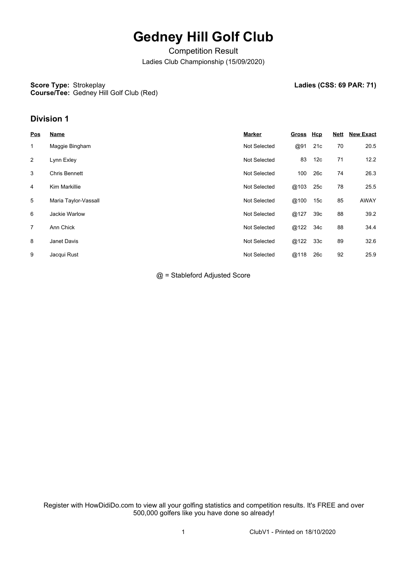# **Gedney Hill Golf Club**

Competition Result Ladies Club Championship (15/09/2020)

#### **Score Type: Strokeplay Course/Tee:** Gedney Hill Golf Club (Red)

Ladies (CSS: 69 PAR: 71)

### **Division 1**

| <b>Pos</b>     | Name                 | <b>Marker</b>       | <b>Gross</b> | <u>Hcp</u>      | <b>Nett</b> | <b>New Exact</b> |
|----------------|----------------------|---------------------|--------------|-----------------|-------------|------------------|
| $\mathbf{1}$   | Maggie Bingham       | <b>Not Selected</b> | @91          | 21c             | 70          | 20.5             |
| 2              | Lynn Exley           | <b>Not Selected</b> | 83           | 12 <sub>c</sub> | 71          | 12.2             |
| 3              | <b>Chris Bennett</b> | <b>Not Selected</b> | 100          | 26c             | 74          | 26.3             |
| 4              | Kim Markillie        | <b>Not Selected</b> | @103         | 25c             | 78          | 25.5             |
| 5              | Maria Taylor-Vassall | <b>Not Selected</b> | @100         | 15c             | 85          | AWAY             |
| 6              | Jackie Warlow        | <b>Not Selected</b> | @127         | 39 <sub>c</sub> | 88          | 39.2             |
| $\overline{7}$ | Ann Chick            | <b>Not Selected</b> | @122         | 34c             | 88          | 34.4             |
| 8              | Janet Davis          | <b>Not Selected</b> | @122         | 33 <sub>c</sub> | 89          | 32.6             |
| 9              | Jacqui Rust          | <b>Not Selected</b> | @118         | 26c             | 92          | 25.9             |

@ = Stableford Adjusted Score

Register with HowDidiDo.com to view all your golfing statistics and competition results. It's FREE and over 500,000 golfers like you have done so already!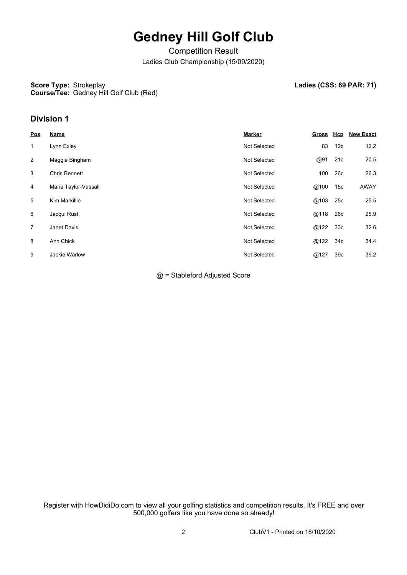# **Gedney Hill Golf Club**

Competition Result Ladies Club Championship (15/09/2020)

#### **Score Type: Strokeplay Course/Tee:** Gedney Hill Golf Club (Red)

Ladies (CSS: 69 PAR: 71)

### **Division 1**

| <b>Pos</b>     | <b>Name</b>          | <b>Marker</b>       | <u>Gross</u> | <u>Hcp</u>      | <b>New Exact</b> |
|----------------|----------------------|---------------------|--------------|-----------------|------------------|
| $\mathbf{1}$   | Lynn Exley           | <b>Not Selected</b> | 83           | 12c             | 12.2             |
| 2              | Maggie Bingham       | <b>Not Selected</b> | @91          | 21c             | 20.5             |
| 3              | <b>Chris Bennett</b> | <b>Not Selected</b> | 100          | 26 <sub>c</sub> | 26.3             |
| 4              | Maria Taylor-Vassall | <b>Not Selected</b> | @100         | 15 <sub>c</sub> | AWAY             |
| 5              | Kim Markillie        | <b>Not Selected</b> | @103         | 25c             | 25.5             |
| 6              | Jacqui Rust          | <b>Not Selected</b> | @118         | 26c             | 25.9             |
| $\overline{7}$ | Janet Davis          | <b>Not Selected</b> | @122 33c     |                 | 32.6             |
| 8              | Ann Chick            | <b>Not Selected</b> | @122 34c     |                 | 34.4             |
| 9              | Jackie Warlow        | <b>Not Selected</b> | @127         | 39 <sub>c</sub> | 39.2             |

@ = Stableford Adjusted Score

Register with HowDidiDo.com to view all your golfing statistics and competition results. It's FREE and over 500,000 golfers like you have done so already!